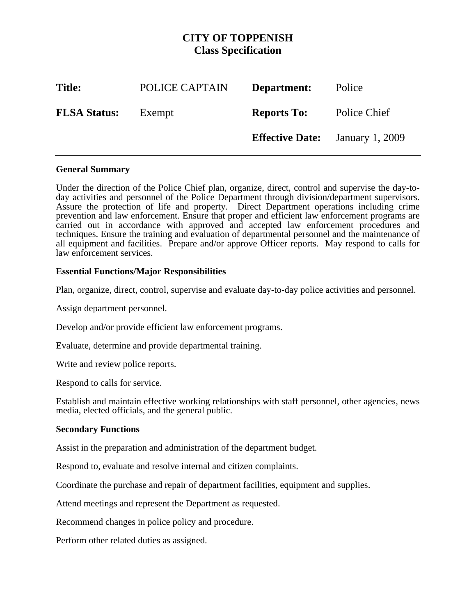# **CITY OF TOPPENISH Class Specification**

| <b>Title:</b>       | POLICE CAPTAIN | Department:                            | Police       |
|---------------------|----------------|----------------------------------------|--------------|
| <b>FLSA Status:</b> | Exempt         | <b>Reports To:</b>                     | Police Chief |
|                     |                | <b>Effective Date:</b> January 1, 2009 |              |

#### **General Summary**

Under the direction of the Police Chief plan, organize, direct, control and supervise the day-today activities and personnel of the Police Department through division/department supervisors. Assure the protection of life and property. Direct Department operations including crime prevention and law enforcement. Ensure that proper and efficient law enforcement programs are carried out in accordance with approved and accepted law enforcement procedures and techniques. Ensure the training and evaluation of departmental personnel and the maintenance of all equipment and facilities. Prepare and/or approve Officer reports. May respond to calls for law enforcement services.

## **Essential Functions/Major Responsibilities**

Plan, organize, direct, control, supervise and evaluate day-to-day police activities and personnel.

Assign department personnel.

Develop and/or provide efficient law enforcement programs.

Evaluate, determine and provide departmental training.

Write and review police reports.

Respond to calls for service.

Establish and maintain effective working relationships with staff personnel, other agencies, news media, elected officials, and the general public.

#### **Secondary Functions**

Assist in the preparation and administration of the department budget.

Respond to, evaluate and resolve internal and citizen complaints.

Coordinate the purchase and repair of department facilities, equipment and supplies.

Attend meetings and represent the Department as requested.

Recommend changes in police policy and procedure.

Perform other related duties as assigned.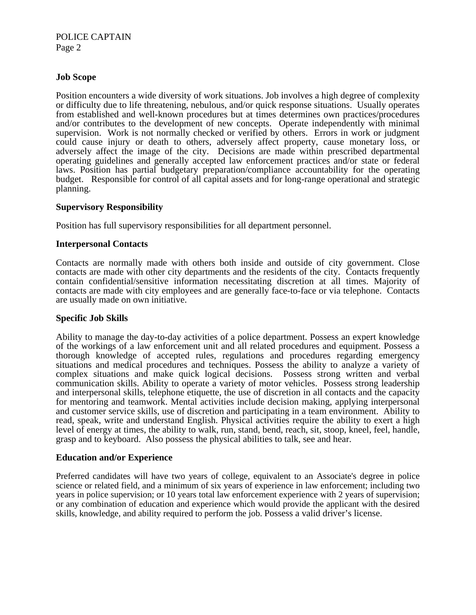POLICE CAPTAIN Page 2

## **Job Scope**

Position encounters a wide diversity of work situations. Job involves a high degree of complexity or difficulty due to life threatening, nebulous, and/or quick response situations. Usually operates from established and well-known procedures but at times determines own practices/procedures and/or contributes to the development of new concepts. Operate independently with minimal supervision. Work is not normally checked or verified by others. Errors in work or judgment could cause injury or death to others, adversely affect property, cause monetary loss, or adversely affect the image of the city. Decisions are made within prescribed departmental operating guidelines and generally accepted law enforcement practices and/or state or federal laws. Position has partial budgetary preparation/compliance accountability for the operating budget. Responsible for control of all capital assets and for long-range operational and strategic planning.

#### **Supervisory Responsibility**

Position has full supervisory responsibilities for all department personnel.

#### **Interpersonal Contacts**

Contacts are normally made with others both inside and outside of city government. Close contacts are made with other city departments and the residents of the city. Contacts frequently contain confidential/sensitive information necessitating discretion at all times. Majority of contacts are made with city employees and are generally face-to-face or via telephone. Contacts are usually made on own initiative.

#### **Specific Job Skills**

Ability to manage the day-to-day activities of a police department. Possess an expert knowledge of the workings of a law enforcement unit and all related procedures and equipment. Possess a thorough knowledge of accepted rules, regulations and procedures regarding emergency situations and medical procedures and techniques. Possess the ability to analyze a variety of complex situations and make quick logical decisions. Possess strong written and verbal communication skills. Ability to operate a variety of motor vehicles. Possess strong leadership and interpersonal skills, telephone etiquette, the use of discretion in all contacts and the capacity for mentoring and teamwork. Mental activities include decision making, applying interpersonal and customer service skills, use of discretion and participating in a team environment. Ability to read, speak, write and understand English. Physical activities require the ability to exert a high level of energy at times, the ability to walk, run, stand, bend, reach, sit, stoop, kneel, feel, handle, grasp and to keyboard. Also possess the physical abilities to talk, see and hear.

#### **Education and/or Experience**

Preferred candidates will have two years of college, equivalent to an Associate's degree in police science or related field, and a minimum of six years of experience in law enforcement; including two years in police supervision; or 10 years total law enforcement experience with 2 years of supervision; or any combination of education and experience which would provide the applicant with the desired skills, knowledge, and ability required to perform the job. Possess a valid driver's license.